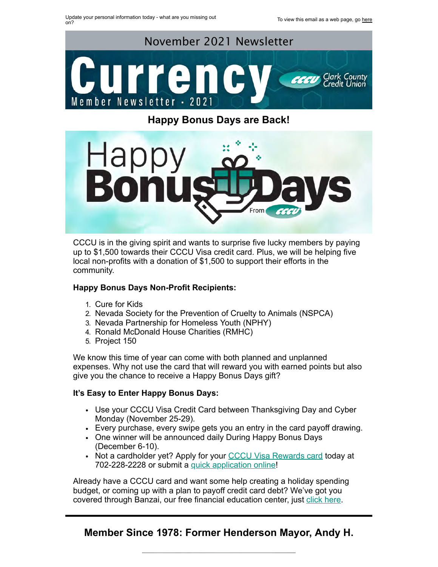

**Happy Bonus Days are Back!**



CCCU is in the giving spirit and wants to surprise five lucky members by paying up to \$1,500 towards their CCCU Visa credit card. Plus, we will be helping five local non-profits with a donation of \$1,500 to support their efforts in the community.

### **Happy Bonus Days Non-Profit Recipients:**

- 1. Cure for Kids
- 2. Nevada Society for the Prevention of Cruelty to Animals (NSPCA)
- 3. Nevada Partnership for Homeless Youth (NPHY)
- 4. Ronald McDonald House Charities (RMHC)
- 5. Project 150

We know this time of year can come with both planned and unplanned expenses. Why not use the card that will reward you with earned points but also give you the chance to receive a Happy Bonus Days gift?

#### **It's Easy to Enter Happy Bonus Days:**

- Use your CCCU Visa Credit Card between Thanksgiving Day and Cyber Monday (November 25-29).
- Every purchase, every swipe gets you an entry in the card payoff drawing.
- One winner will be announced daily During Happy Bonus Days (December 6-10).
- Not a cardholder yet? Apply for your [CCCU Visa Rewards card](https://www.ccculv.org/Credit-Cards.aspx) today at 702-228-2228 or submit a [quick application online](https://loans.ccculv.com/cccu/)!

Already have a CCCU card and want some help creating a holiday spending budget, or coming up with a plan to payoff credit card debt? We've got you covered through Banzai, our free financial education center, just [click here.](https://ccculv.teachbanzai.com/wellness/collections/using-credit-cards)

## **Member Since 1978: Former Henderson Mayor, Andy H.**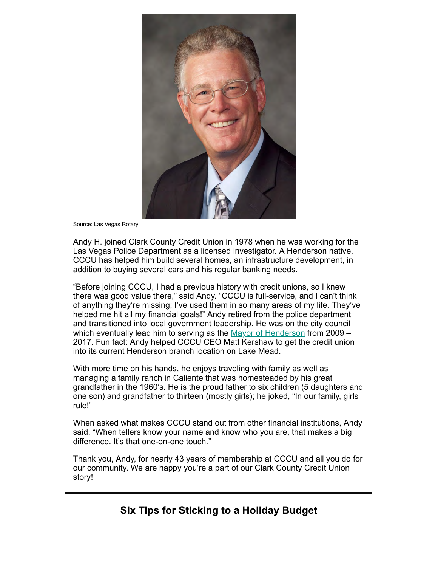

Source: Las Vegas Rotary

Andy H. joined Clark County Credit Union in 1978 when he was working for the Las Vegas Police Department as a licensed investigator. A Henderson native, CCCU has helped him build several homes, an infrastructure development, in addition to buying several cars and his regular banking needs.

"Before joining CCCU, I had a previous history with credit unions, so I knew there was good value there," said Andy. "CCCU is full-service, and I can't think of anything they're missing; I've used them in so many areas of my life. They've helped me hit all my financial goals!" Andy retired from the police department and transitioned into local government leadership. He was on the city council which eventually lead him to serving as the [Mayor of Henderson](https://hendersonhistoricalsociety.org/andy-hafen-to-become-the-president-ceo-of-the-henderson-historical-society) from 2009 – 2017. Fun fact: Andy helped CCCU CEO Matt Kershaw to get the credit union into its current Henderson branch location on Lake Mead.

With more time on his hands, he enjoys traveling with family as well as managing a family ranch in Caliente that was homesteaded by his great grandfather in the 1960's. He is the proud father to six children (5 daughters and one son) and grandfather to thirteen (mostly girls); he joked, "In our family, girls rule!"

When asked what makes CCCU stand out from other financial institutions, Andy said, "When tellers know your name and know who you are, that makes a big difference. It's that one-on-one touch."

Thank you, Andy, for nearly 43 years of membership at CCCU and all you do for our community. We are happy you're a part of our Clark County Credit Union story!

**Six Tips for Sticking to a Holiday Budget**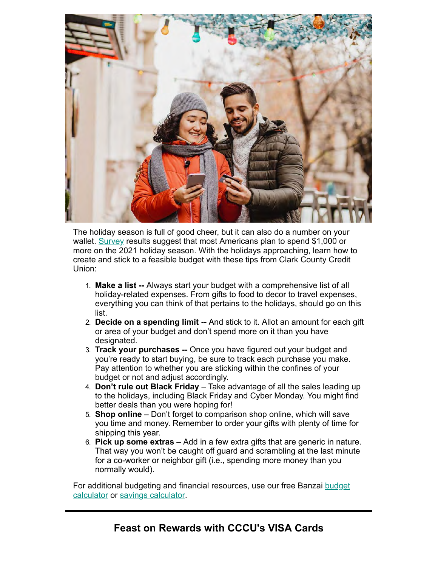

The holiday season is full of good cheer, but it can also do a number on your wallet. [Survey](https://www.quantummetric.com/blog/2021-holiday-shopping-survey/) results suggest that most Americans plan to spend \$1,000 or more on the 2021 holiday season. With the holidays approaching, learn how to create and stick to a feasible budget with these tips from Clark County Credit Union:

- 1. **Make a list --** Always start your budget with a comprehensive list of all holiday-related expenses. From gifts to food to decor to travel expenses, everything you can think of that pertains to the holidays, should go on this list.
- 2. **Decide on a spending limit --** And stick to it. Allot an amount for each gift or area of your budget and don't spend more on it than you have designated.
- 3. **Track your purchases --** Once you have figured out your budget and you're ready to start buying, be sure to track each purchase you make. Pay attention to whether you are sticking within the confines of your budget or not and adjust accordingly.
- 4. **Don't rule out Black Friday**  Take advantage of all the sales leading up to the holidays, including Black Friday and Cyber Monday. You might find better deals than you were hoping for!
- 5. **Shop online**  Don't forget to comparison shop online, which will save you time and money. Remember to order your gifts with plenty of time for shipping this year.
- 6. **Pick up some extras**  Add in a few extra gifts that are generic in nature. That way you won't be caught off guard and scrambling at the last minute for a co-worker or neighbor gift (i.e., spending more money than you normally would).

[For additional budgeting and financial resources, use our free Banzai budget](https://ccculv.teachbanzai.com/wellness/resources/budget-calculator) calculator or [savings calculator.](https://ccculv.teachbanzai.com/wellness/resources/savings-calculator)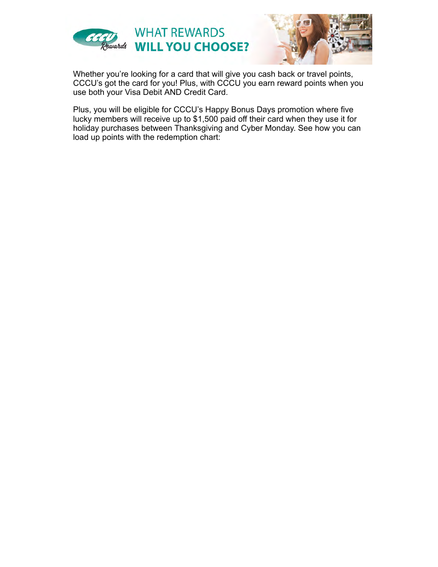



Whether you're looking for a card that will give you cash back or travel points, CCCU's got the card for you! Plus, with CCCU you earn reward points when you use both your Visa Debit AND Credit Card.

Plus, you will be eligible for CCCU's Happy Bonus Days promotion where five lucky members will receive up to \$1,500 paid off their card when they use it for holiday purchases between Thanksgiving and Cyber Monday. See how you can load up points with the redemption chart: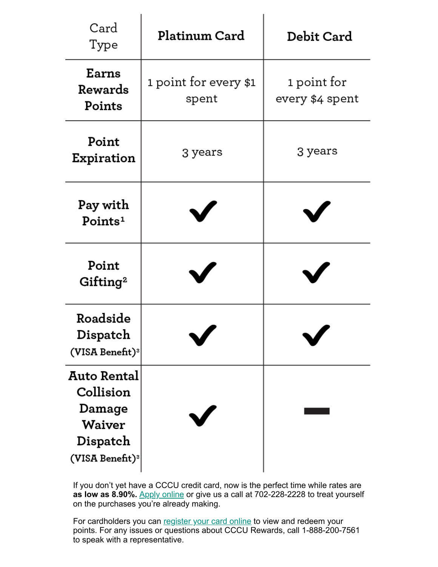| Card<br>Type                                                                                            | Platinum Card                  | <b>Debit Card</b>              |
|---------------------------------------------------------------------------------------------------------|--------------------------------|--------------------------------|
| Earns<br>Rewards<br>Points                                                                              | 1 point for every \$1<br>spent | 1 point for<br>every \$4 spent |
| Point<br>Expiration                                                                                     | 3 years                        | 3 years                        |
| Pay with<br>Points <sup>1</sup>                                                                         |                                |                                |
| Point<br>Gifting <sup>2</sup>                                                                           |                                |                                |
| Roadside<br>Dispatch<br>(VISA Benefit) <sup>3</sup>                                                     |                                |                                |
| <b>Auto Rental</b><br>Collision<br>Damage<br>Waiver<br>Dispatch<br>$(VISA\,$ Benefit $)^{\mathfrak{z}}$ |                                |                                |

If you don't yet have a CCCU credit card, now is the perfect time while rates are **as low as 8.90%.** [Apply online](https://loans.ccculv.com/cccu/) or give us a call at 702-228-2228 to treat yourself on the purchases you're already making.

For cardholders you can [register your card online](https://rewards.ccculv.com/) to view and redeem your points. For any issues or questions about CCCU Rewards, call 1-888-200-7561 to speak with a representative.